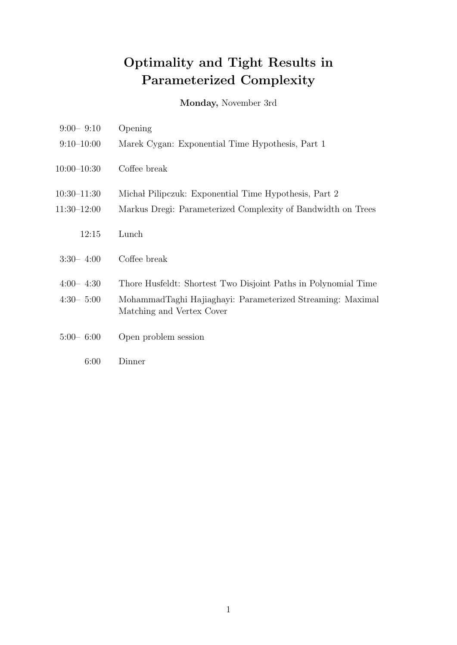Monday, November 3rd

| $9:00 - 9:10$   | Opening                                                                                 |
|-----------------|-----------------------------------------------------------------------------------------|
| $9:10-10:00$    | Marek Cygan: Exponential Time Hypothesis, Part 1                                        |
| $10:00 - 10:30$ | Coffee break                                                                            |
| $10:30 - 11:30$ | Michał Pilipczuk: Exponential Time Hypothesis, Part 2                                   |
| $11:30-12:00$   | Markus Dregi: Parameterized Complexity of Bandwidth on Trees                            |
| 12:15           | Lunch                                                                                   |
| $3:30-4:00$     | Coffee break                                                                            |
| $4:00-4:30$     | Thore Husfeldt: Shortest Two Disjoint Paths in Polynomial Time                          |
| $4:30-5:00$     | MohammadTaghi Hajiaghayi: Parameterized Streaming: Maximal<br>Matching and Vertex Cover |
| $5:00 - 6:00$   | Open problem session                                                                    |
| 6:00            | Dinner                                                                                  |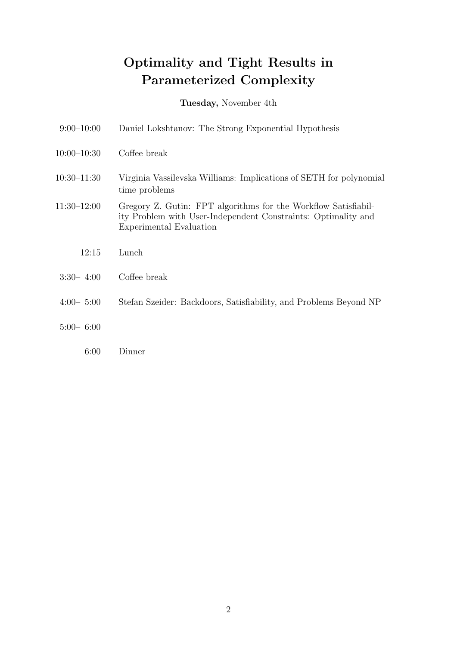Tuesday, November 4th

| $9:00-10:00$    | Daniel Lokshtanov: The Strong Exponential Hypothesis                                                                                                       |
|-----------------|------------------------------------------------------------------------------------------------------------------------------------------------------------|
| $10:00-10:30$   | Coffee break                                                                                                                                               |
| $10:30 - 11:30$ | Virginia Vassilevska Williams: Implications of SETH for polynomial<br>time problems                                                                        |
| $11:30-12:00$   | Gregory Z. Gutin: FPT algorithms for the Workflow Satisfiabil-<br>ity Problem with User-Independent Constraints: Optimality and<br>Experimental Evaluation |
| 12:15           | Lunch                                                                                                                                                      |
| $3:30-4:00$     | Coffee break                                                                                                                                               |
| $4:00 - 5:00$   | Stefan Szeider: Backdoors, Satisfiability, and Problems Beyond NP                                                                                          |
| $5:00 - 6:00$   |                                                                                                                                                            |
| 6:00            | Dinner                                                                                                                                                     |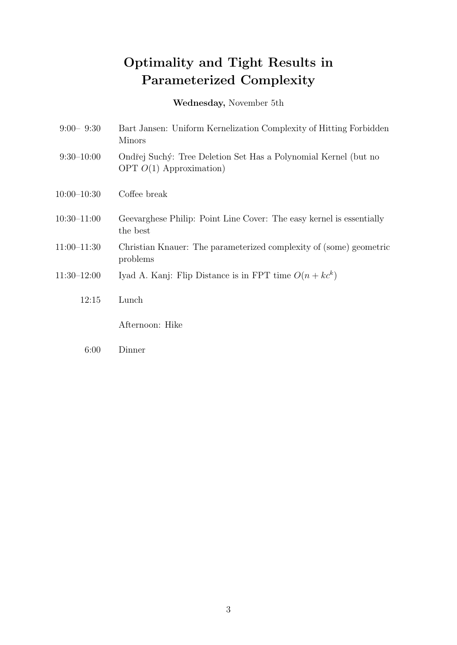Wednesday, November 5th

| $9:00 - 9:30$   | Bart Jansen: Uniform Kernelization Complexity of Hitting Forbidden<br><b>Minors</b>          |
|-----------------|----------------------------------------------------------------------------------------------|
| $9:30-10:00$    | Ondřej Suchý: Tree Deletion Set Has a Polynomial Kernel (but no<br>OPT $O(1)$ Approximation) |
| $10:00-10:30$   | Coffee break                                                                                 |
| $10:30 - 11:00$ | Geevarghese Philip: Point Line Cover: The easy kernel is essentially<br>the best             |
| $11:00-11:30$   | Christian Knauer: The parameterized complexity of (some) geometric<br>problems               |
| $11:30-12:00$   | Iyad A. Kanj: Flip Distance is in FPT time $O(n + k c^k)$                                    |
| 12:15           | Lunch                                                                                        |
|                 | Afternoon: Hike                                                                              |
| 6:00            | Dinner                                                                                       |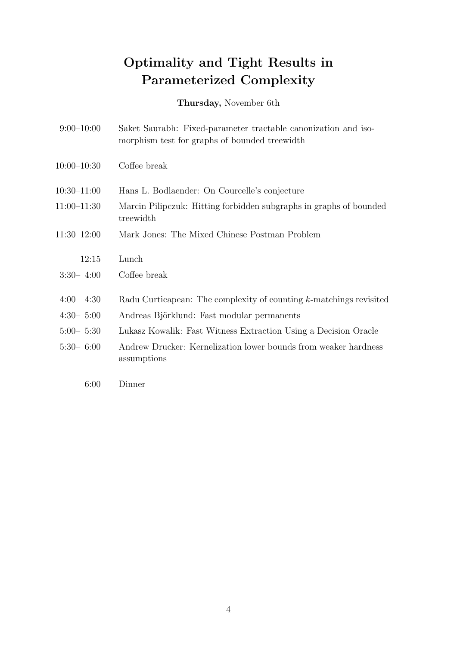Thursday, November 6th

| $9:00-10:00$    | Saket Saurabh: Fixed-parameter tractable canonization and iso-<br>morphism test for graphs of bounded treewidth |
|-----------------|-----------------------------------------------------------------------------------------------------------------|
| $10:00 - 10:30$ | Coffee break                                                                                                    |
| $10:30 - 11:00$ | Hans L. Bodlaender: On Courcelle's conjecture                                                                   |
| $11:00-11:30$   | Marcin Pilipczuk: Hitting forbidden subgraphs in graphs of bounded<br>treewidth                                 |
| $11:30-12:00$   | Mark Jones: The Mixed Chinese Postman Problem                                                                   |
| 12:15           | Lunch                                                                                                           |
| $3:30-4:00$     | Coffee break                                                                                                    |
| $4:00-4:30$     | Radu Curticapean: The complexity of counting k-matchings revisited                                              |
| $4:30-5:00$     | Andreas Björklund: Fast modular permanents                                                                      |
| $5:00 - 5:30$   | Lukasz Kowalik: Fast Witness Extraction Using a Decision Oracle                                                 |
| $5:30-6:00$     | Andrew Drucker: Kernelization lower bounds from weaker hardness<br>assumptions                                  |
| 6:00            | Dinner                                                                                                          |